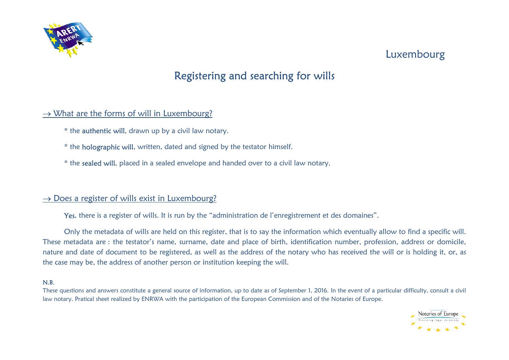

## Luxembourg

# Registering and searching for wills

#### $\rightarrow$  What are the forms of will in Luxembourg?

- \* the authentic will, drawn up by a civil law notary.
- \* the holographic will, written, dated and signed by the testator himself.
- \* the sealed will, placed in a sealed envelope and handed over to a civil law notary.

#### $\rightarrow$  Does a register of wills exist in Luxembourg?

Yes, there is a register of wills. It is run by the "administration de l'enregistrement et des domaines".

Only the metadata of wills are held on this register, that is to say the information which eventually allow to find a specific will. These metadata are : the testator's name, surname, date and place of birth, identification number, profession, address or domicile, nature and date of document to be registered, as well as the address of the notary who has received the will or is holding it, or, as the case may be, the address of another person or institution keeping the will.

#### N.B.

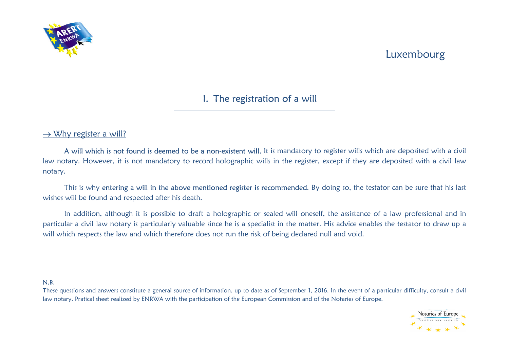



I. The registration of a will

 $\rightarrow$  Why register a will?

A will which is not found is deemed to be a non-existent will. It is mandatory to register wills which are deposited with a civil law notary. However, it is not mandatory to record holographic wills in the register, except if they are deposited with a civil law notary.

This is why entering a will in the above mentioned register is recommended. By doing so, the testator can be sure that his last wishes will be found and respected after his death.

In addition, although it is possible to draft a holographic or sealed will oneself, the assistance of a law professional and in particular a civil law notary is particularly valuable since he is a specialist in the matter. His advice enables the testator to draw up a will which respects the law and which therefore does not run the risk of being declared null and void.

#### N.B.

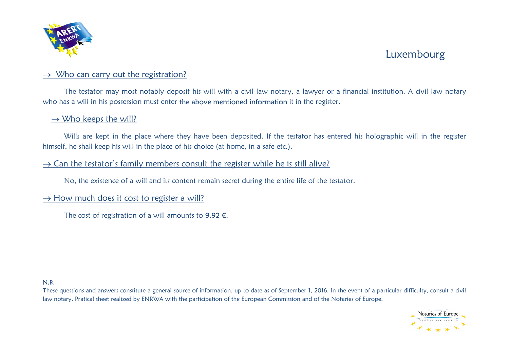

## Luxembourg

### $\rightarrow$  Who can carry out the registration?

The testator may most notably deposit his will with a civil law notary, a lawyer or a financial institution. A civil law notary who has a will in his possession must enter the above mentioned information it in the register.

#### $\rightarrow$  Who keeps the will?

Wills are kept in the place where they have been deposited. If the testator has entered his holographic will in the register himself, he shall keep his will in the place of his choice (at home, in a safe etc.).

### $\rightarrow$  Can the testator's family members consult the register while he is still alive?

No, the existence of a will and its content remain secret during the entire life of the testator.

### $\rightarrow$  How much does it cost to register a will?

The cost of registration of a will amounts to  $9.92 \in$ .

#### N.B.